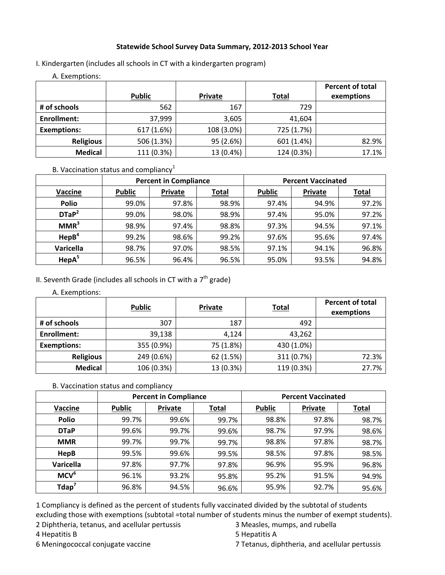#### **Statewide School Survey Data Summary, 2012‐2013 School Year**

I. Kindergarten (includes all schools in CT with a kindergarten program)

A. Exemptions:

|                    |               |            |              | <b>Percent of total</b> |
|--------------------|---------------|------------|--------------|-------------------------|
|                    | <b>Public</b> | Private    | <b>Total</b> | exemptions              |
| # of schools       | 562           | 167        | 729          |                         |
| Enrollment:        | 37,999        | 3,605      | 41,604       |                         |
| <b>Exemptions:</b> | 617 (1.6%)    | 108 (3.0%) | 725 (1.7%)   |                         |
| <b>Religious</b>   | 506 (1.3%)    | 95 (2.6%)  | 601 (1.4%)   | 82.9%                   |
| <b>Medical</b>     | 111 (0.3%)    | 13 (0.4%)  | 124 (0.3%)   | 17.1%                   |

### B. Vaccination status and compliancy $1$

|                   | <b>Percent in Compliance</b> |         |       | <b>Percent Vaccinated</b> |                |       |
|-------------------|------------------------------|---------|-------|---------------------------|----------------|-------|
| <b>Vaccine</b>    | <b>Public</b>                | Private | Total | <b>Public</b>             | <b>Private</b> | Total |
| <b>Polio</b>      | 99.0%                        | 97.8%   | 98.9% | 97.4%                     | 94.9%          | 97.2% |
| DTaP <sup>2</sup> | 99.0%                        | 98.0%   | 98.9% | 97.4%                     | 95.0%          | 97.2% |
| MMR <sup>3</sup>  | 98.9%                        | 97.4%   | 98.8% | 97.3%                     | 94.5%          | 97.1% |
| HepB <sup>4</sup> | 99.2%                        | 98.6%   | 99.2% | 97.6%                     | 95.6%          | 97.4% |
| Varicella         | 98.7%                        | 97.0%   | 98.5% | 97.1%                     | 94.1%          | 96.8% |
| HepA <sup>5</sup> | 96.5%                        | 96.4%   | 96.5% | 95.0%                     | 93.5%          | 94.8% |

## II. Seventh Grade (includes all schools in CT with a  $7<sup>th</sup>$  grade)

#### A. Exemptions:

|                    | <b>Public</b> | <b>Private</b> | <b>Total</b> | <b>Percent of total</b><br>exemptions |
|--------------------|---------------|----------------|--------------|---------------------------------------|
| # of schools       | 307           | 187            | 492          |                                       |
| <b>Enrollment:</b> | 39,138        | 4,124          | 43,262       |                                       |
| <b>Exemptions:</b> | 355 (0.9%)    | 75 (1.8%)      | 430 (1.0%)   |                                       |
| <b>Religious</b>   | 249 (0.6%)    | 62 (1.5%)      | 311 (0.7%)   | 72.3%                                 |
| <b>Medical</b>     | 106 (0.3%)    | 13 (0.3%)      | 119 (0.3%)   | 27.7%                                 |

#### B. Vaccination status and compliancy

|                      | <b>Percent in Compliance</b> |         | <b>Percent Vaccinated</b> |               |         |              |
|----------------------|------------------------------|---------|---------------------------|---------------|---------|--------------|
| Vaccine              | <b>Public</b>                | Private | <b>Total</b>              | <b>Public</b> | Private | <b>Total</b> |
| <b>Polio</b>         | 99.7%                        | 99.6%   | 99.7%                     | 98.8%         | 97.8%   | 98.7%        |
| <b>DTaP</b>          | 99.6%                        | 99.7%   | 99.6%                     | 98.7%         | 97.9%   | 98.6%        |
| <b>MMR</b>           | 99.7%                        | 99.7%   | 99.7%                     | 98.8%         | 97.8%   | 98.7%        |
| <b>HepB</b>          | 99.5%                        | 99.6%   | 99.5%                     | 98.5%         | 97.8%   | 98.5%        |
| Varicella            | 97.8%                        | 97.7%   | 97.8%                     | 96.9%         | 95.9%   | 96.8%        |
| MCV <sup>6</sup>     | 96.1%                        | 93.2%   | 95.8%                     | 95.2%         | 91.5%   | 94.9%        |
| $T$ dap <sup>7</sup> | 96.8%                        | 94.5%   | 96.6%                     | 95.9%         | 92.7%   | 95.6%        |

1 Compliancy is defined as the percent of students fully vaccinated divided by the subtotal of students excluding those with exemptions (subtotal =total number of students minus the number of exempt students).

2 Diphtheria, tetanus, and acellular pertussis 3 Measles, mumps, and rubella

4 Hepatitis B 5 Hepatitis A

6 Meningococcal conjugate vaccine 7 Tetanus, diphtheria, and acellular pertussis